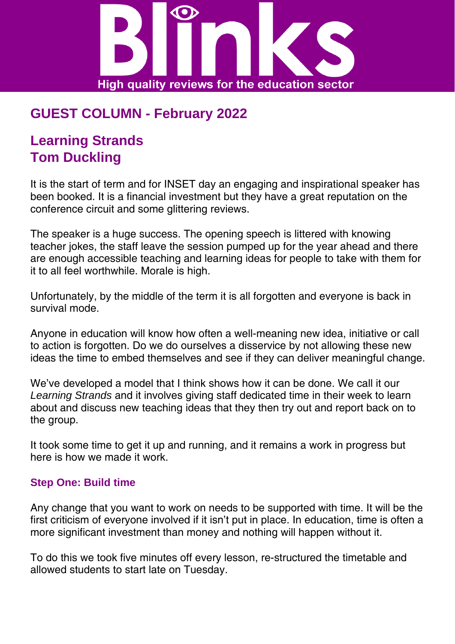

# **GUEST COLUMN - February 2022**

## **Learning Strands Tom Duckling**

It is the start of term and for INSET day an engaging and inspirational speaker has been booked. It is a financial investment but they have a great reputation on the conference circuit and some glittering reviews.

The speaker is a huge success. The opening speech is littered with knowing teacher jokes, the staff leave the session pumped up for the year ahead and there are enough accessible teaching and learning ideas for people to take with them for it to all feel worthwhile. Morale is high.

Unfortunately, by the middle of the term it is all forgotten and everyone is back in survival mode.

Anyone in education will know how often a well-meaning new idea, initiative or call to action is forgotten. Do we do ourselves a disservice by not allowing these new ideas the time to embed themselves and see if they can deliver meaningful change.

We've developed a model that I think shows how it can be done. We call it our *Learning Strands* and it involves giving staff dedicated time in their week to learn about and discuss new teaching ideas that they then try out and report back on to the group.

It took some time to get it up and running, and it remains a work in progress but here is how we made it work.

#### **Step One: Build time**

Any change that you want to work on needs to be supported with time. It will be the first criticism of everyone involved if it isn't put in place. In education, time is often a more significant investment than money and nothing will happen without it.

To do this we took five minutes off every lesson, re-structured the timetable and allowed students to start late on Tuesday.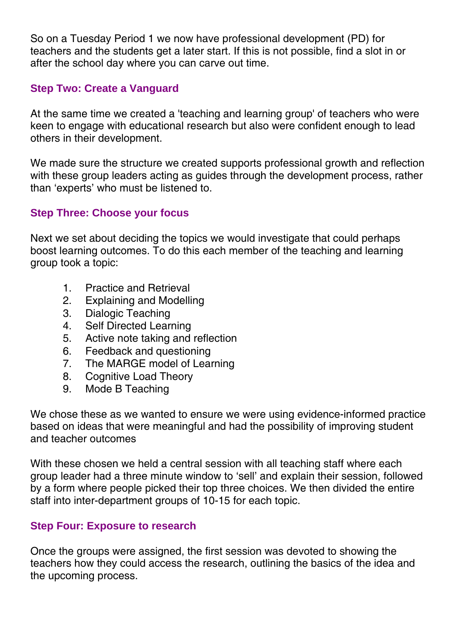So on a Tuesday Period 1 we now have professional development (PD) for teachers and the students get a later start. If this is not possible, find a slot in or after the school day where you can carve out time.

#### **Step Two: Create a Vanguard**

At the same time we created a 'teaching and learning group' of teachers who were keen to engage with educational research but also were confident enough to lead others in their development.

We made sure the structure we created supports professional growth and reflection with these group leaders acting as guides through the development process, rather than 'experts' who must be listened to.

#### **Step Three: Choose your focus**

Next we set about deciding the topics we would investigate that could perhaps boost learning outcomes. To do this each member of the teaching and learning group took a topic:

- 1. Practice and Retrieval
- 2. Explaining and Modelling
- 3. Dialogic Teaching
- 4. Self Directed Learning
- 5. Active note taking and reflection
- 6. Feedback and questioning
- 7. The MARGE model of Learning
- 8. Cognitive Load Theory
- 9. Mode B Teaching

We chose these as we wanted to ensure we were using evidence-informed practice based on ideas that were meaningful and had the possibility of improving student and teacher outcomes

With these chosen we held a central session with all teaching staff where each group leader had a three minute window to 'sell' and explain their session, followed by a form where people picked their top three choices. We then divided the entire staff into inter-department groups of 10-15 for each topic.

#### **Step Four: Exposure to research**

Once the groups were assigned, the first session was devoted to showing the teachers how they could access the research, outlining the basics of the idea and the upcoming process.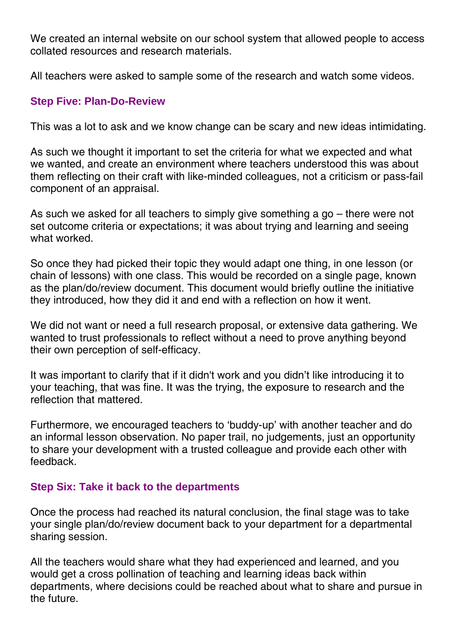We created an internal website on our school system that allowed people to access collated resources and research materials.

All teachers were asked to sample some of the research and watch some videos.

#### **Step Five: Plan-Do-Review**

This was a lot to ask and we know change can be scary and new ideas intimidating.

As such we thought it important to set the criteria for what we expected and what we wanted, and create an environment where teachers understood this was about them reflecting on their craft with like-minded colleagues, not a criticism or pass-fail component of an appraisal.

As such we asked for all teachers to simply give something a go – there were not set outcome criteria or expectations; it was about trying and learning and seeing what worked.

So once they had picked their topic they would adapt one thing, in one lesson (or chain of lessons) with one class. This would be recorded on a single page, known as the plan/do/review document. This document would briefly outline the initiative they introduced, how they did it and end with a reflection on how it went.

We did not want or need a full research proposal, or extensive data gathering. We wanted to trust professionals to reflect without a need to prove anything beyond their own perception of self-efficacy.

It was important to clarify that if it didn't work and you didn't like introducing it to your teaching, that was fine. It was the trying, the exposure to research and the reflection that mattered.

Furthermore, we encouraged teachers to 'buddy-up' with another teacher and do an informal lesson observation. No paper trail, no judgements, just an opportunity to share your development with a trusted colleague and provide each other with feedback.

### **Step Six: Take it back to the departments**

Once the process had reached its natural conclusion, the final stage was to take your single plan/do/review document back to your department for a departmental sharing session.

All the teachers would share what they had experienced and learned, and you would get a cross pollination of teaching and learning ideas back within departments, where decisions could be reached about what to share and pursue in the future.